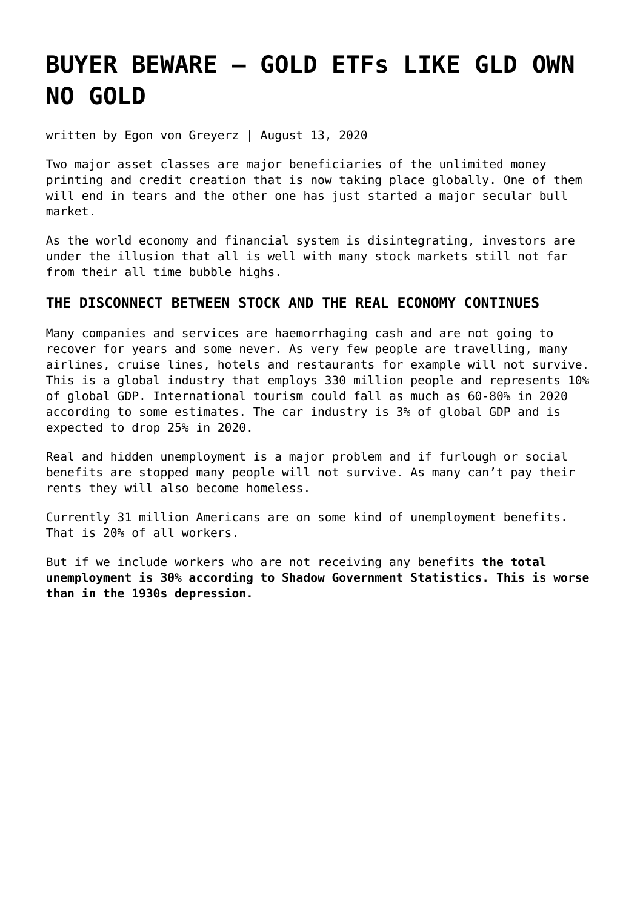# **[BUYER BEWARE – GOLD ETFs LIKE GLD OWN](https://goldswitzerland.com/buyer-beware-gold-etfs-like-gld-own-no-gold/) [NO GOLD](https://goldswitzerland.com/buyer-beware-gold-etfs-like-gld-own-no-gold/)**

written by Egon von Greyerz | August 13, 2020

Two major asset classes are major beneficiaries of the unlimited money printing and credit creation that is now taking place globally. One of them will end in tears and the other one has just started a major secular bull market.

As the world economy and financial system is disintegrating, investors are under the illusion that all is well with many stock markets still not far from their all time bubble highs.

## **THE DISCONNECT BETWEEN STOCK AND THE REAL ECONOMY CONTINUES**

Many companies and services are haemorrhaging cash and are not going to recover for years and some never. As very few people are travelling, many airlines, cruise lines, hotels and restaurants for example will not survive. This is a global industry that employs 330 million people and represents 10% of global GDP. International tourism could fall as much as 60-80% in 2020 according to some estimates. The car industry is 3% of global GDP and is expected to drop 25% in 2020.

Real and hidden unemployment is a major problem and if furlough or social benefits are stopped many people will not survive. As many can't pay their rents they will also become homeless.

Currently 31 million Americans are on some kind of unemployment benefits. That is 20% of all workers.

But if we include workers who are not receiving any benefits **the total unemployment is 30% according to Shadow Government Statistics. This is worse than in the 1930s depression.**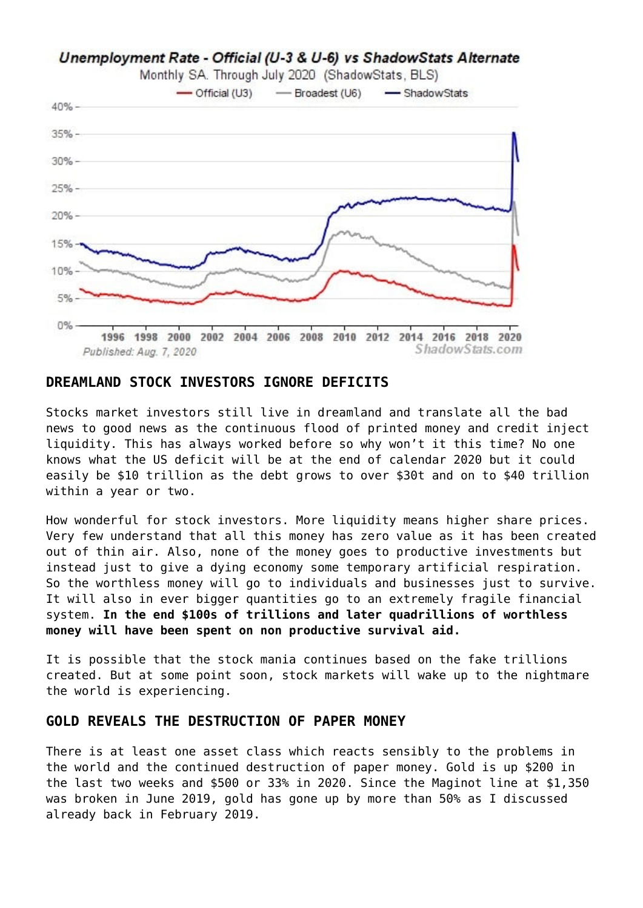

## **DREAMLAND STOCK INVESTORS IGNORE DEFICITS**

Stocks market investors still live in dreamland and translate all the bad news to good news as the continuous flood of printed money and credit inject liquidity. This has always worked before so why won't it this time? No one knows what the US deficit will be at the end of calendar 2020 but it could easily be \$10 trillion as the debt grows to over \$30t and on to \$40 trillion within a year or two.

How wonderful for stock investors. More liquidity means higher share prices. Very few understand that all this money has zero value as it has been created out of thin air. Also, none of the money goes to productive investments but instead just to give a dying economy some temporary artificial respiration. So the worthless money will go to individuals and businesses just to survive. It will also in ever bigger quantities go to an extremely fragile financial system. **In the end \$100s of trillions and later quadrillions of worthless money will have been spent on non productive survival aid.**

It is possible that the stock mania continues based on the fake trillions created. But at some point soon, stock markets will wake up to the nightmare the world is experiencing.

#### **GOLD REVEALS THE DESTRUCTION OF PAPER MONEY**

There is at least one asset class which reacts sensibly to the problems in the world and the continued destruction of paper money. Gold is up \$200 in the last two weeks and \$500 or 33% in 2020. Since the Maginot line at \$1,350 was broken in June 2019, gold has gone up by more than 50% as I discussed already [back in February 2019.](https://goldswitzerland.com/the-chinese-and-maginot-gold-lines/)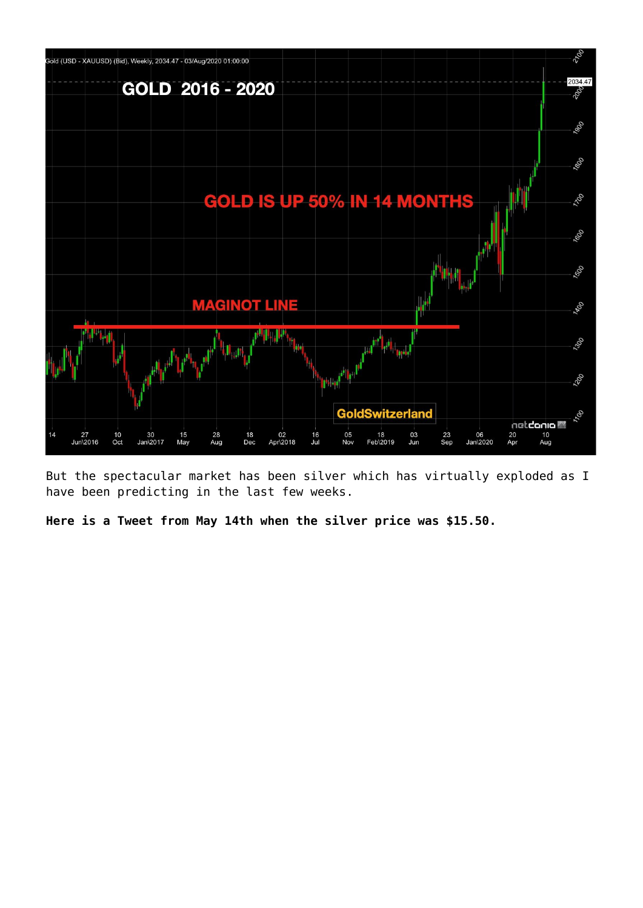

But the spectacular market has been silver which has virtually exploded as I have been predicting in the last few weeks.

**[Here is a Tweet from May 14th when the silver price was \\$15.50.](https://twitter.com/GoldSwitzerland/status/1260891989077381120)**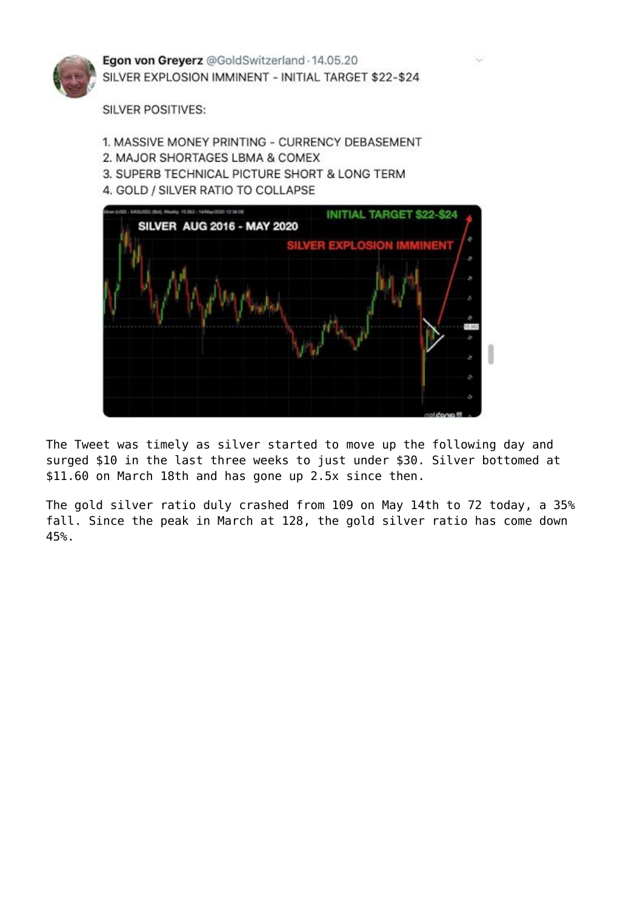

Egon von Greyerz @GoldSwitzerland · 14.05.20 SILVER EXPLOSION IMMINENT - INITIAL TARGET \$22-\$24

**SILVER POSITIVES:** 

- 1. MASSIVE MONEY PRINTING CURRENCY DEBASEMENT
- 2. MAJOR SHORTAGES LBMA & COMEX
- 3. SUPERB TECHNICAL PICTURE SHORT & LONG TERM
- 4. GOLD / SILVER RATIO TO COLLAPSE



The Tweet was timely as silver started to move up the following day and surged \$10 in the last three weeks to just under \$30. Silver bottomed at \$11.60 on March 18th and has gone up 2.5x since then.

The gold silver ratio duly crashed from 109 on May 14th to 72 today, a 35% fall. Since the peak in March at 128, the gold silver ratio has come down 45%.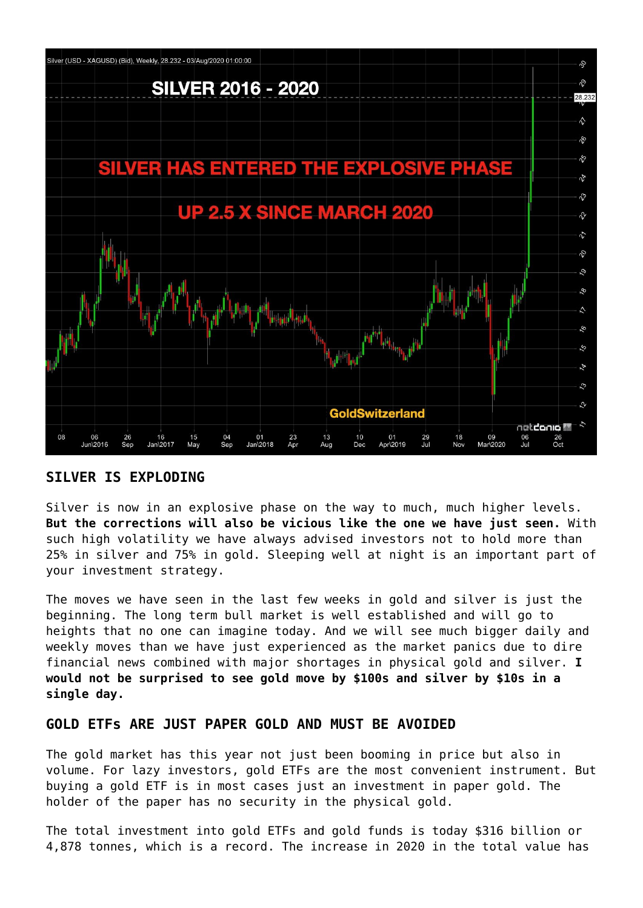

## **SILVER IS EXPLODING**

Silver is now in an explosive phase on the way to much, much higher levels. **But the corrections will also be vicious like the one we have just seen.** With such high volatility we have always advised investors not to hold more than 25% in silver and 75% in gold. Sleeping well at night is an important part of your investment strategy.

The moves we have seen in the last few weeks in gold and silver is just the beginning. The long term bull market is well established and will go to heights that no one can imagine today. And we will see much bigger daily and weekly moves than we have just experienced as the market panics due to dire financial news combined with major shortages in physical gold and silver. **I would not be surprised to see gold move by \$100s and silver by \$10s in a single day.**

#### **GOLD ETFs ARE JUST PAPER GOLD AND MUST BE AVOIDED**

The gold market has this year not just been booming in price but also in volume. For lazy investors, gold ETFs are the most convenient instrument. But buying a gold ETF is in most cases just an investment in paper gold. The holder of the paper has no security in the physical gold.

The total investment into gold ETFs and gold funds is today \$316 billion or 4,878 tonnes, which is a record. The increase in 2020 in the total value has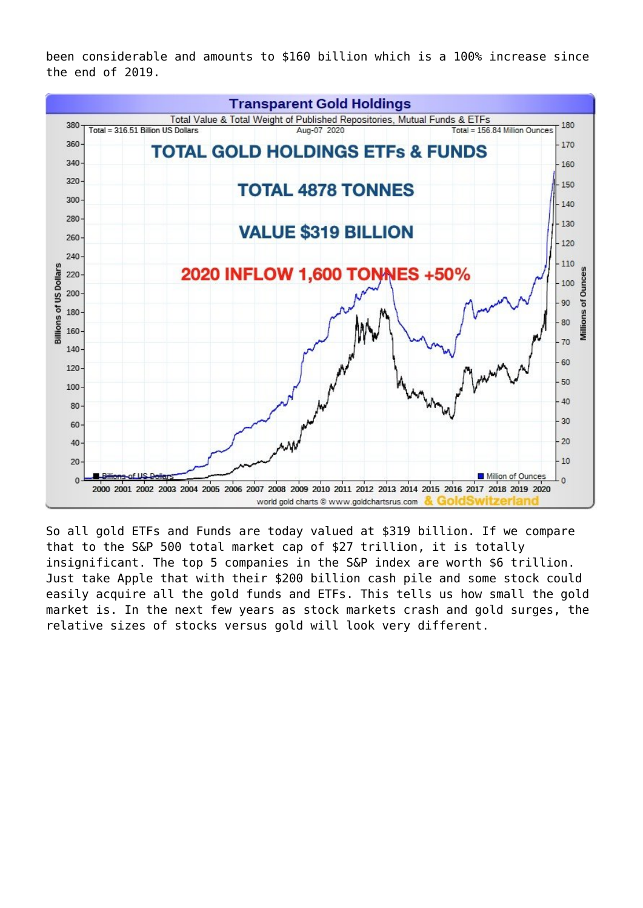been considerable and amounts to \$160 billion which is a 100% increase since the end of 2019.



So all gold ETFs and Funds are today valued at \$319 billion. If we compare that to the S&P 500 total market cap of \$27 trillion, it is totally insignificant. The top 5 companies in the S&P index are worth \$6 trillion. Just take Apple that with their \$200 billion cash pile and some stock could easily acquire all the gold funds and ETFs. This tells us how small the gold market is. In the next few years as stock markets crash and gold surges, the relative sizes of stocks versus gold will look very different.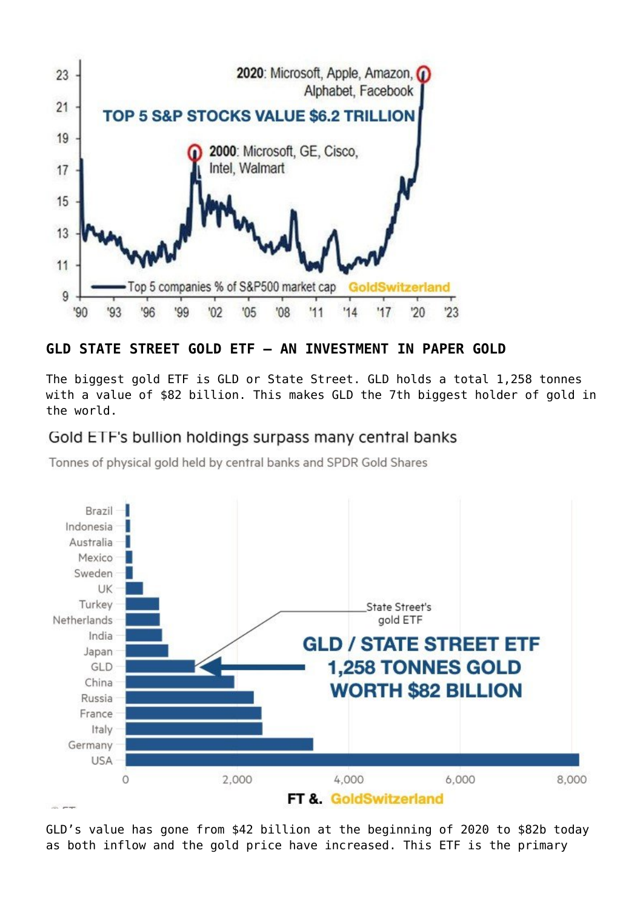

# **GLD STATE STREET GOLD ETF – AN INVESTMENT IN PAPER GOLD**

The biggest gold ETF is GLD or State Street. GLD holds a total 1,258 tonnes with a value of \$82 billion. This makes GLD the 7th biggest holder of gold in the world.

# Gold ETF's bullion holdings surpass many central banks

Tonnes of physical gold held by central banks and SPDR Gold Shares



GLD's value has gone from \$42 billion at the beginning of 2020 to \$82b today as both inflow and the gold price have increased. This ETF is the primary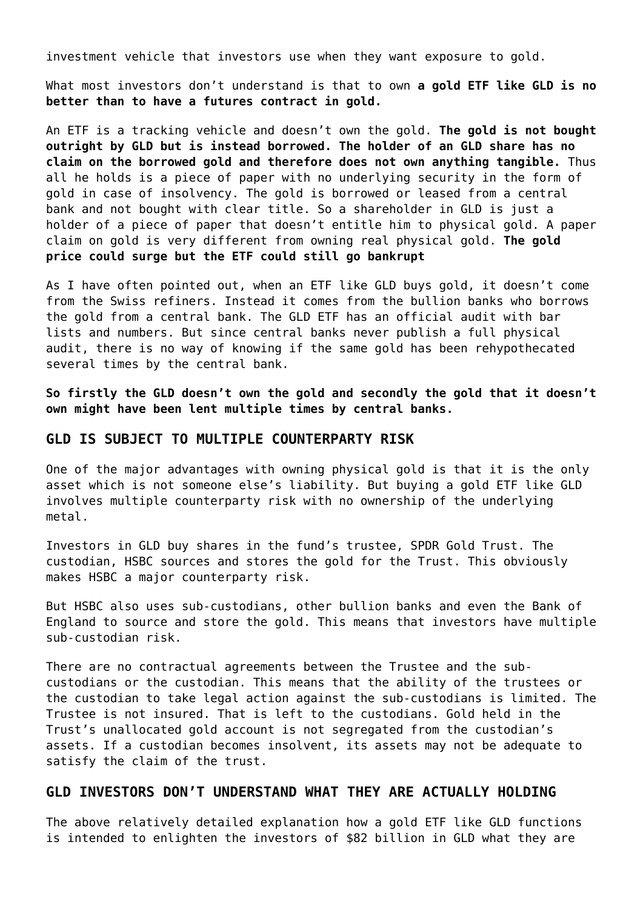investment vehicle that investors use when they want exposure to gold.

What most investors don't understand is that to own **a gold ETF like GLD is no better than to have a futures contract in gold.**

An ETF is a tracking vehicle and doesn't own the gold. **The gold is not bought outright by GLD but is instead borrowed. The holder of an GLD share has no claim on the borrowed gold and therefore does not own anything tangible.** Thus all he holds is a piece of paper with no underlying security in the form of gold in case of insolvency. The gold is borrowed or leased from a central bank and not bought with clear title. So a shareholder in GLD is just a holder of a piece of paper that doesn't entitle him to physical gold. A paper claim on gold is very different from owning real physical gold. **The gold price could surge but the ETF could still go bankrupt**

As I have often pointed out, when an ETF like GLD buys gold, it doesn't come from the Swiss refiners. Instead it comes from the bullion banks who borrows the gold from a central bank. The GLD ETF has an official audit with bar lists and numbers. But since central banks never publish a full physical audit, there is no way of knowing if the same gold has been rehypothecated several times by the central bank.

**So firstly the GLD doesn't own the gold and secondly the gold that it doesn't own might have been lent multiple times by central banks.**

#### **GLD IS SUBJECT TO MULTIPLE COUNTERPARTY RISK**

One of the major advantages with owning physical gold is that it is the only asset which is not someone else's liability. But buying a gold ETF like GLD involves multiple counterparty risk with no ownership of the underlying metal.

Investors in GLD buy shares in the fund's trustee, SPDR Gold Trust. The custodian, HSBC sources and stores the gold for the Trust. This obviously makes HSBC a major counterparty risk.

But HSBC also uses sub-custodians, other bullion banks and even the Bank of England to source and store the gold. This means that investors have multiple sub-custodian risk.

There are no contractual agreements between the Trustee and the subcustodians or the custodian. This means that the ability of the trustees or the custodian to take legal action against the sub-custodians is limited. The Trustee is not insured. That is left to the custodians. Gold held in the Trust's unallocated gold account is not segregated from the custodian's assets. If a custodian becomes insolvent, its assets may not be adequate to satisfy the claim of the trust.

#### **GLD INVESTORS DON'T UNDERSTAND WHAT THEY ARE ACTUALLY HOLDING**

The above relatively detailed explanation how a gold ETF like GLD functions is intended to enlighten the investors of \$82 billion in GLD what they are